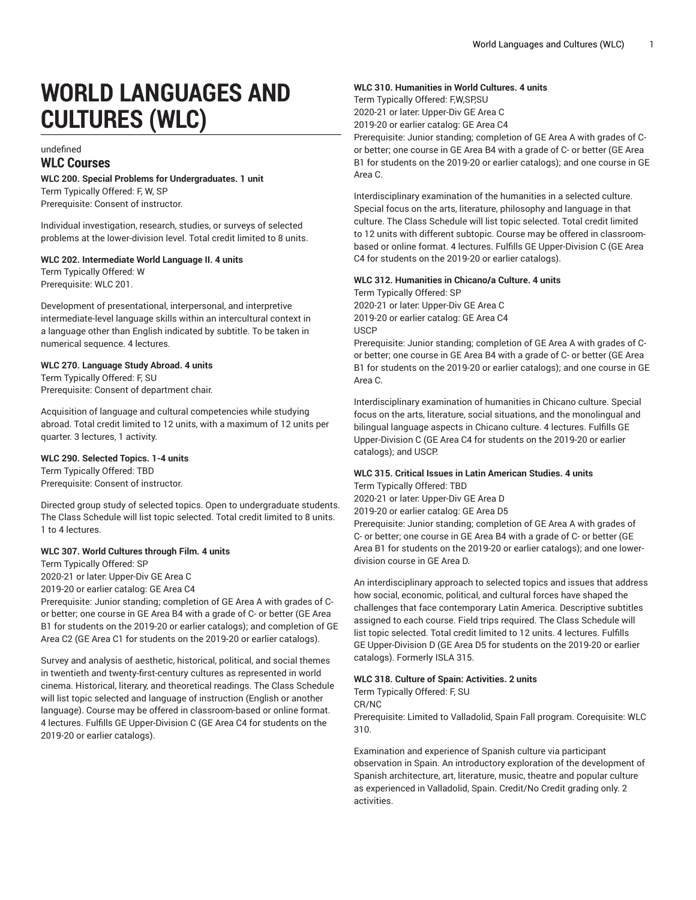# **WORLD LANGUAGES AND CULTURES (WLC)**

## undefined **WLC Courses**

#### **WLC 200. Special Problems for Undergraduates. 1 unit** Term Typically Offered: F, W, SP Prerequisite: Consent of instructor.

Individual investigation, research, studies, or surveys of selected problems at the lower-division level. Total credit limited to 8 units.

#### **WLC 202. Intermediate World Language II. 4 units**

Term Typically Offered: W Prerequisite: WLC 201.

Development of presentational, interpersonal, and interpretive intermediate-level language skills within an intercultural context in a language other than English indicated by subtitle. To be taken in numerical sequence. 4 lectures.

#### **WLC 270. Language Study Abroad. 4 units**

Term Typically Offered: F, SU Prerequisite: Consent of department chair.

Acquisition of language and cultural competencies while studying abroad. Total credit limited to 12 units, with a maximum of 12 units per quarter. 3 lectures, 1 activity.

#### **WLC 290. Selected Topics. 1-4 units**

Term Typically Offered: TBD Prerequisite: Consent of instructor.

Directed group study of selected topics. Open to undergraduate students. The Class Schedule will list topic selected. Total credit limited to 8 units. 1 to 4 lectures.

#### **WLC 307. World Cultures through Film. 4 units**

Term Typically Offered: SP 2020-21 or later: Upper-Div GE Area C 2019-20 or earlier catalog: GE Area C4

Prerequisite: Junior standing; completion of GE Area A with grades of Cor better; one course in GE Area B4 with a grade of C- or better (GE Area B1 for students on the 2019-20 or earlier catalogs); and completion of GE Area C2 (GE Area C1 for students on the 2019-20 or earlier catalogs).

Survey and analysis of aesthetic, historical, political, and social themes in twentieth and twenty-first-century cultures as represented in world cinema. Historical, literary, and theoretical readings. The Class Schedule will list topic selected and language of instruction (English or another language). Course may be offered in classroom-based or online format. 4 lectures. Fulfills GE Upper-Division C (GE Area C4 for students on the 2019-20 or earlier catalogs).

### **WLC 310. Humanities in World Cultures. 4 units**

Term Typically Offered: F,W,SP,SU 2020-21 or later: Upper-Div GE Area C 2019-20 or earlier catalog: GE Area C4

Prerequisite: Junior standing; completion of GE Area A with grades of Cor better; one course in GE Area B4 with a grade of C- or better (GE Area B1 for students on the 2019-20 or earlier catalogs); and one course in GE Area C.

Interdisciplinary examination of the humanities in a selected culture. Special focus on the arts, literature, philosophy and language in that culture. The Class Schedule will list topic selected. Total credit limited to 12 units with different subtopic. Course may be offered in classroombased or online format. 4 lectures. Fulfills GE Upper-Division C (GE Area C4 for students on the 2019-20 or earlier catalogs).

#### **WLC 312. Humanities in Chicano/a Culture. 4 units**

Term Typically Offered: SP 2020-21 or later: Upper-Div GE Area C 2019-20 or earlier catalog: GE Area C4 USCP

Prerequisite: Junior standing; completion of GE Area A with grades of Cor better; one course in GE Area B4 with a grade of C- or better (GE Area B1 for students on the 2019-20 or earlier catalogs); and one course in GE Area C.

Interdisciplinary examination of humanities in Chicano culture. Special focus on the arts, literature, social situations, and the monolingual and bilingual language aspects in Chicano culture. 4 lectures. Fulfills GE Upper-Division C (GE Area C4 for students on the 2019-20 or earlier catalogs); and USCP.

#### **WLC 315. Critical Issues in Latin American Studies. 4 units** Term Typically Offered: TBD

2020-21 or later: Upper-Div GE Area D 2019-20 or earlier catalog: GE Area D5

Prerequisite: Junior standing; completion of GE Area A with grades of C- or better; one course in GE Area B4 with a grade of C- or better (GE Area B1 for students on the 2019-20 or earlier catalogs); and one lowerdivision course in GE Area D.

An interdisciplinary approach to selected topics and issues that address how social, economic, political, and cultural forces have shaped the challenges that face contemporary Latin America. Descriptive subtitles assigned to each course. Field trips required. The Class Schedule will list topic selected. Total credit limited to 12 units. 4 lectures. Fulfills GE Upper-Division D (GE Area D5 for students on the 2019-20 or earlier catalogs). Formerly ISLA 315.

#### **WLC 318. Culture of Spain: Activities. 2 units**

Term Typically Offered: F, SU

CR/NC

Prerequisite: Limited to Valladolid, Spain Fall program. Corequisite: WLC 310.

Examination and experience of Spanish culture via participant observation in Spain. An introductory exploration of the development of Spanish architecture, art, literature, music, theatre and popular culture as experienced in Valladolid, Spain. Credit/No Credit grading only. 2 activities.